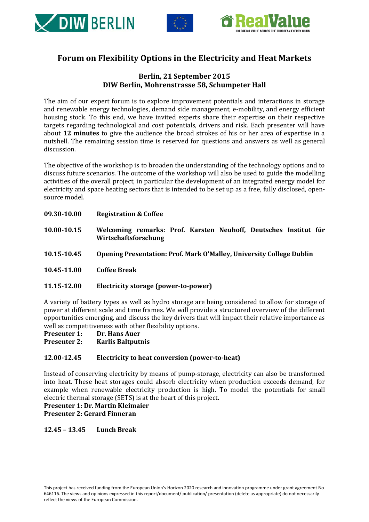





## **Forum on Flexibility Options in the Electricity and Heat Markets**

## **Berlin, 21 September 2015 DIW Berlin, Mohrenstrasse 58, Schumpeter Hall**

The aim of our expert forum is to explore improvement potentials and interactions in storage and renewable energy technologies, demand side management, e-mobility, and energy efficient housing stock. To this end, we have invited experts share their expertise on their respective targets regarding technological and cost potentials, drivers and risk. Each presenter will have about **12 minutes** to give the audience the broad strokes of his or her area of expertise in a nutshell. The remaining session time is reserved for questions and answers as well as general discussion.

The objective of the workshop is to broaden the understanding of the technology options and to discuss future scenarios. The outcome of the workshop will also be used to guide the modelling activities of the overall project, in particular the development of an integrated energy model for electricity and space heating sectors that is intended to be set up as a free, fully disclosed, opensource model.

- **09.30-10.00 Registration & Coffee**
- **10.00-10.15 Welcoming remarks: Prof. Karsten Neuhoff, Deutsches Institut für Wirtschaftsforschung**
- **10.15-10.45 Opening Presentation: Prof. Mark O'Malley, University College Dublin**
- **10.45-11.00 Coffee Break**

#### **11.15-12.00 Electricity storage (power-to-power)**

A variety of battery types as well as hydro storage are being considered to allow for storage of power at different scale and time frames. We will provide a structured overview of the different opportunities emerging, and discuss the key drivers that will impact their relative importance as well as competitiveness with other flexibility options.<br>**Presenter 1:** Dr. Hans Auer

**Dr. Hans Auer** 

**Presenter 2: Karlis Baltputnis**

### **12.00-12.45 Electricity to heat conversion (power-to-heat)**

Instead of conserving electricity by means of pump-storage, electricity can also be transformed into heat. These heat storages could absorb electricity when production exceeds demand, for example when renewable electricity production is high. To model the potentials for small electric thermal storage (SETS) is at the heart of this project.

**Presenter 1: Dr. Martin Kleimaier Presenter 2: Gerard Finneran**

### **12.45 – 13.45 Lunch Break**